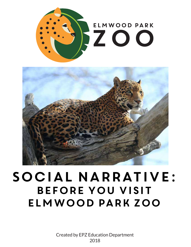



# Social Narrative: Before you Visit Elmwood Park Zoo

Created by EPZ Education Department 2018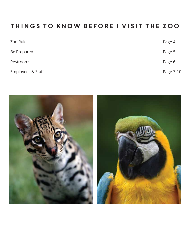# Things to know before I visit the zoo

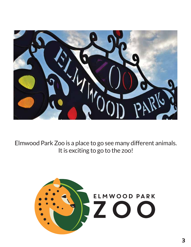

Elmwood Park Zoo is a place to go see many different animals. It is exciting to go to the zoo!

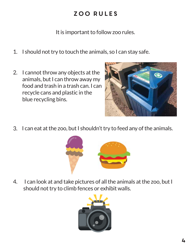# zoo rules

It is important to follow zoo rules.

- I should not try to touch the animals, so I can stay safe. 1.
- I cannot throw any objects at the animals, but I can throw away my food and trash in a trash can. I can recycle cans and plastic in the blue recycling bins. 2.



3. I can eat at the zoo, but I shouldn't try to feed any of the animals.



 I can look at and take pictures of all the animals at the zoo, but I should not try to climb fences or exhibit walls. 4.

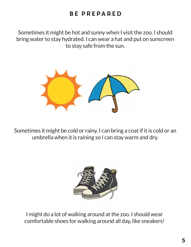## Be prepared

Sometimes it might be hot and sunny when I visit the zoo. I should bring water to stay hydrated. I can wear a hat and put on sunscreen to stay safe from the sun.



Sometimes it might be cold or rainy. I can bring a coat if it is cold or an umbrella when it is raining so I can stay warm and dry.



I might do a lot of walking around at the zoo. I should wear comfortable shoes for walking around all day, like sneakers!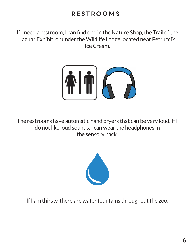# Restrooms

If I need a restroom, I can find one in the Nature Shop, the Trail of the Jaguar Exhibit, or under the Wildlife Lodge located near Petrucci's Ice Cream.



The restrooms have automatic hand dryers that can be very loud. If I do not like loud sounds, I can wear the headphones in the sensory pack.



If I am thirsty, there are water fountains throughout the zoo.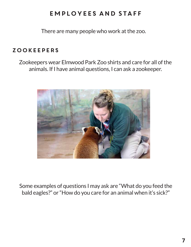There are many people who work at the zoo.

#### **ZOOKEEPERS**

Zookeepers wear Elmwood Park Zoo shirts and care for all of the animals. If I have animal questions, I can ask a zookeeper.



Some examples of questions I may ask are "What do you feed the bald eagles?" or "How do you care for an animal when it's sick?"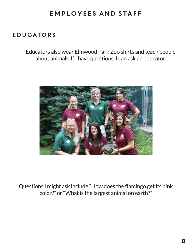#### Educators

Educators also wear Elmwood Park Zoo shirts and teach people about animals. If I have questions, I can ask an educator.



Questions I might ask include "How does the flamingo get its pink color?" or "What is the largest animal on earth?"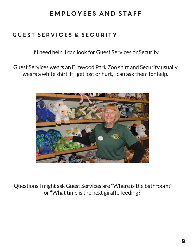#### Guest Services & Security

If I need help, I can look for Guest Services or Security.

Guest Services wears an Elmwood Park Zoo shirt and Security usually wears a white shirt. If I get lost or hurt, I can ask them for help.



Questions I might ask Guest Services are "Where is the bathroom?" or "What time is the next giraffe feeding?"